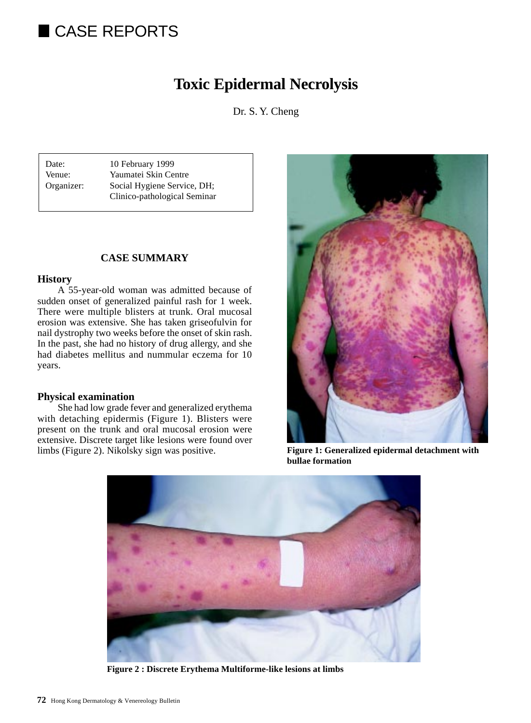# CASE REPORTS

# **Toxic Epidermal Necrolysis**

Dr. S. Y. Cheng

Date: 10 February 1999 Venue: Yaumatei Skin Centre Organizer: Social Hygiene Service, DH; Clinico-pathological Seminar

# **CASE SUMMARY**

### **History**

A 55-year-old woman was admitted because of sudden onset of generalized painful rash for 1 week. There were multiple blisters at trunk. Oral mucosal erosion was extensive. She has taken griseofulvin for nail dystrophy two weeks before the onset of skin rash. In the past, she had no history of drug allergy, and she had diabetes mellitus and nummular eczema for 10 years.

# **Physical examination**

She had low grade fever and generalized erythema with detaching epidermis (Figure 1). Blisters were present on the trunk and oral mucosal erosion were extensive. Discrete target like lesions were found over limbs (Figure 2). Nikolsky sign was positive.



**Figure 1: Generalized epidermal detachment with bullae formation**



**Figure 2 : Discrete Erythema Multiforme-like lesions at limbs**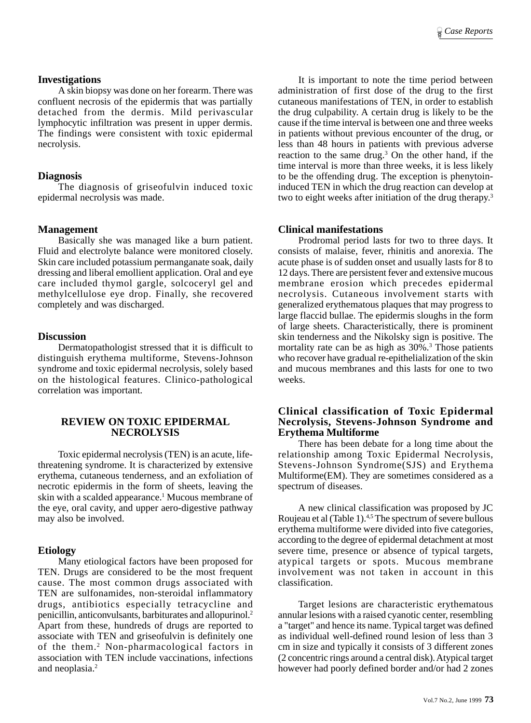#### **Investigations**

A skin biopsy was done on her forearm. There was confluent necrosis of the epidermis that was partially detached from the dermis. Mild perivascular lymphocytic infiltration was present in upper dermis. The findings were consistent with toxic epidermal necrolysis.

### **Diagnosis**

The diagnosis of griseofulvin induced toxic epidermal necrolysis was made.

### **Management**

Basically she was managed like a burn patient. Fluid and electrolyte balance were monitored closely. Skin care included potassium permanganate soak, daily dressing and liberal emollient application. Oral and eye care included thymol gargle, solcoceryl gel and methylcellulose eye drop. Finally, she recovered completely and was discharged.

### **Discussion**

Dermatopathologist stressed that it is difficult to distinguish erythema multiforme, Stevens-Johnson syndrome and toxic epidermal necrolysis, solely based on the histological features. Clinico-pathological correlation was important.

### **REVIEW ON TOXIC EPIDERMAL NECROLYSIS**

Toxic epidermal necrolysis (TEN) is an acute, lifethreatening syndrome. It is characterized by extensive erythema, cutaneous tenderness, and an exfoliation of necrotic epidermis in the form of sheets, leaving the skin with a scalded appearance.<sup>1</sup> Mucous membrane of the eye, oral cavity, and upper aero-digestive pathway may also be involved.

#### **Etiology**

Many etiological factors have been proposed for TEN. Drugs are considered to be the most frequent cause. The most common drugs associated with TEN are sulfonamides, non-steroidal inflammatory drugs, antibiotics especially tetracycline and penicillin, anticonvulsants, barbiturates and allopurinol.2 Apart from these, hundreds of drugs are reported to associate with TEN and griseofulvin is definitely one of the them.<sup>2</sup> Non-pharmacological factors in association with TEN include vaccinations, infections and neoplasia.2

It is important to note the time period between administration of first dose of the drug to the first cutaneous manifestations of TEN, in order to establish the drug culpability. A certain drug is likely to be the cause if the time interval is between one and three weeks in patients without previous encounter of the drug, or less than 48 hours in patients with previous adverse reaction to the same drug.<sup>3</sup> On the other hand, if the time interval is more than three weeks, it is less likely to be the offending drug. The exception is phenytoininduced TEN in which the drug reaction can develop at two to eight weeks after initiation of the drug therapy.<sup>3</sup>

### **Clinical manifestations**

Prodromal period lasts for two to three days. It consists of malaise, fever, rhinitis and anorexia. The acute phase is of sudden onset and usually lasts for 8 to 12 days. There are persistent fever and extensive mucous membrane erosion which precedes epidermal necrolysis. Cutaneous involvement starts with generalized erythematous plaques that may progress to large flaccid bullae. The epidermis sloughs in the form of large sheets. Characteristically, there is prominent skin tenderness and the Nikolsky sign is positive. The mortality rate can be as high as 30%.<sup>3</sup> Those patients who recover have gradual re-epithelialization of the skin and mucous membranes and this lasts for one to two weeks.

#### **Clinical classification of Toxic Epidermal Necrolysis, Stevens-Johnson Syndrome and Erythema Multiforme**

There has been debate for a long time about the relationship among Toxic Epidermal Necrolysis, Stevens-Johnson Syndrome(SJS) and Erythema Multiforme(EM). They are sometimes considered as a spectrum of diseases.

A new clinical classification was proposed by JC Roujeau et al (Table 1).<sup>4,5</sup> The spectrum of severe bullous erythema multiforme were divided into five categories, according to the degree of epidermal detachment at most severe time, presence or absence of typical targets, atypical targets or spots. Mucous membrane involvement was not taken in account in this classification.

Target lesions are characteristic erythematous annular lesions with a raised cyanotic center, resembling a "target" and hence its name. Typical target was defined as individual well-defined round lesion of less than 3 cm in size and typically it consists of 3 different zones (2 concentric rings around a central disk). Atypical target however had poorly defined border and/or had 2 zones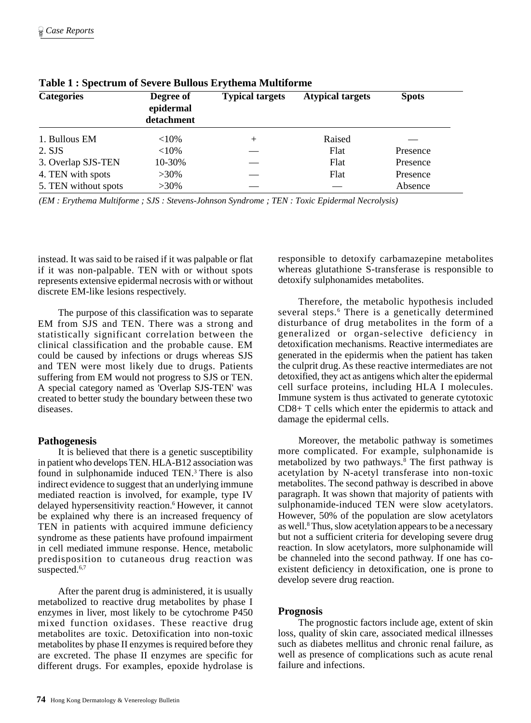| <b>Categories</b>    | Degree of<br>epidermal<br>detachment | <b>Typical targets</b> | <b>Atypical targets</b> | <b>Spots</b> |
|----------------------|--------------------------------------|------------------------|-------------------------|--------------|
| 1. Bullous EM        | ${<}10\%$                            | $^{+}$                 | Raised                  |              |
| 2. SJS               | ${<}10\%$                            |                        | Flat                    | Presence     |
| 3. Overlap SJS-TEN   | 10-30%                               |                        | Flat                    | Presence     |
| 4. TEN with spots    | $>30\%$                              |                        | Flat                    | Presence     |
| 5. TEN without spots | $>30\%$                              |                        |                         | Absence      |

**Table 1 : Spectrum of Severe Bullous Erythema Multiforme**

*(EM : Erythema Multiforme ; SJS : Stevens-Johnson Syndrome ; TEN : Toxic Epidermal Necrolysis)*

instead. It was said to be raised if it was palpable or flat if it was non-palpable. TEN with or without spots represents extensive epidermal necrosis with or without discrete EM-like lesions respectively.

The purpose of this classification was to separate EM from SJS and TEN. There was a strong and statistically significant correlation between the clinical classification and the probable cause. EM could be caused by infections or drugs whereas SJS and TEN were most likely due to drugs. Patients suffering from EM would not progress to SJS or TEN. A special category named as 'Overlap SJS-TEN' was created to better study the boundary between these two diseases.

# **Pathogenesis**

It is believed that there is a genetic susceptibility in patient who develops TEN. HLA-B12 association was found in sulphonamide induced TEN.<sup>3</sup> There is also indirect evidence to suggest that an underlying immune mediated reaction is involved, for example, type IV delayed hypersensitivity reaction.6 However, it cannot be explained why there is an increased frequency of TEN in patients with acquired immune deficiency syndrome as these patients have profound impairment in cell mediated immune response. Hence, metabolic predisposition to cutaneous drug reaction was suspected.<sup>6,7</sup>

After the parent drug is administered, it is usually metabolized to reactive drug metabolites by phase I enzymes in liver, most likely to be cytochrome P450 mixed function oxidases. These reactive drug metabolites are toxic. Detoxification into non-toxic metabolites by phase II enzymes is required before they are excreted. The phase II enzymes are specific for different drugs. For examples, epoxide hydrolase is

responsible to detoxify carbamazepine metabolites whereas glutathione S-transferase is responsible to detoxify sulphonamides metabolites.

Therefore, the metabolic hypothesis included several steps.<sup>6</sup> There is a genetically determined disturbance of drug metabolites in the form of a generalized or organ-selective deficiency in detoxification mechanisms. Reactive intermediates are generated in the epidermis when the patient has taken the culprit drug. As these reactive intermediates are not detoxified, they act as antigens which alter the epidermal cell surface proteins, including HLA I molecules. Immune system is thus activated to generate cytotoxic CD8+ T cells which enter the epidermis to attack and damage the epidermal cells.

Moreover, the metabolic pathway is sometimes more complicated. For example, sulphonamide is metabolized by two pathways.<sup>8</sup> The first pathway is acetylation by N-acetyl transferase into non-toxic metabolites. The second pathway is described in above paragraph. It was shown that majority of patients with sulphonamide-induced TEN were slow acetylators. However, 50% of the population are slow acetylators as well.<sup>8</sup> Thus, slow acetylation appears to be a necessary but not a sufficient criteria for developing severe drug reaction. In slow acetylators, more sulphonamide will be channeled into the second pathway. If one has coexistent deficiency in detoxification, one is prone to develop severe drug reaction.

# **Prognosis**

The prognostic factors include age, extent of skin loss, quality of skin care, associated medical illnesses such as diabetes mellitus and chronic renal failure, as well as presence of complications such as acute renal failure and infections.